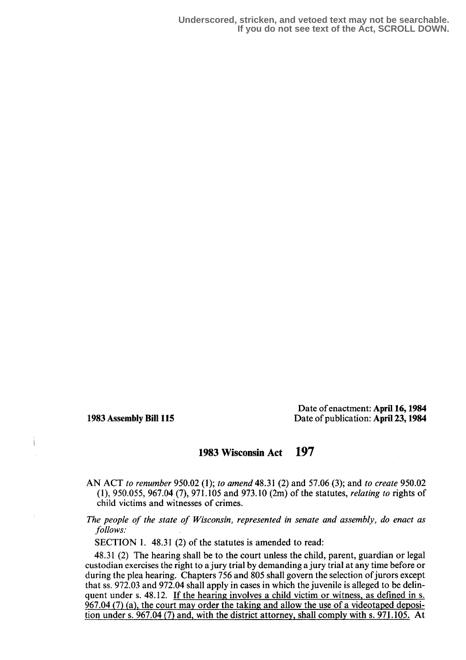Date of enactment: April 16, 1984 1983 Assembly Bill 115 Date of publication: April 23,1984

## 1983 Wisconsin Act 197

AN ACT to renumber 950.02 (1); to amend 48.31 (2) and 57.06 (3); and to create 950.02 (1), 950.055, 967.04 (7), 971 .105 and 973.10 (2m) of the statutes, relating to rights of child victims and witnesses of crimes.

The people of the state of Wisconsin, represented in senate and assembly, do enact as follows:

SECTION 1. 48.31 (2) of the statutes is amended to read:

48.31 (2) The hearing shall be to the court unless the child, parent, guardian or legal custodian exercises the right to a jury trial by demanding a jury trial at any time before or during the plea hearing. Chapters 756 and 805 shall govern the selection of jurors except that ss. 972.03 and 972.04 shall apply in cases in which the juvenile is alleged to be delinquent under s. 48.12. If the hearing involves a child victim or witness, as defined in s.  $967.04(7)$  (a), the court may order the taking and allow the use of a videotaped deposition under s. 967.04 (7) and, with the district attorney, shall comply with s. 971.105. At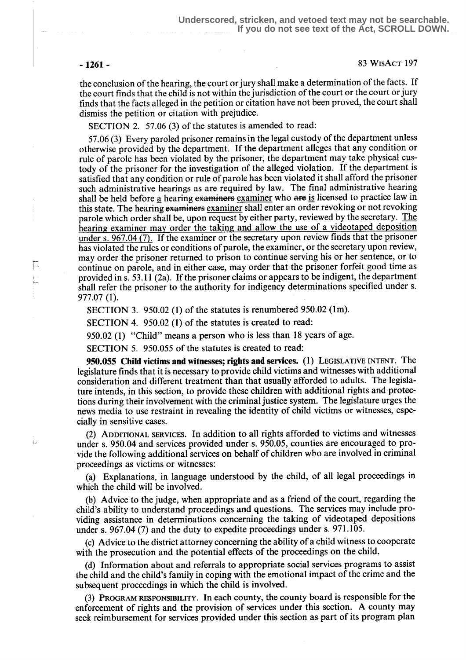F.

) s

- 1261 - 83 WrsAct 197

the conclusion of the hearing, the court or jury shall make a determination of the facts. If the court finds that the child is not within the jurisdiction of the court or the court or jury finds that the facts alleged in the petition or citation have not been proved, the court shall dismiss the petition or citation with prejudice.

SECTION 2. 57.06 (3) of the statutes is amended to read:

57.06 (3) Every paroled prisoner remains in the legal custody of the department unless otherwise provided by the department. If the department alleges that any condition or rule of parole has been violated by the prisoner, the department may take physical custody of the prisoner for the investigation of the alleged violation. If the department is satisfied that any condition or rule of parole has been violated it shall afford the prisoner such administrative hearings as are required by law. The final administrative hearing shall be held before a hearing examiners examiner who are is licensed to practice law in this state. The hearing examiners examiner shall enter an order revoking or not revoking parole which order shall be, upon request by either party, reviewed by the secretary. The hearing examiner may order the taking and allow the use of a videotaped deposition under s.  $967.04(7)$ . If the examiner or the secretary upon review finds that the prisoner has violated the rules or conditions of parole, the examiner, or the secretary upon review, may order the prisoner returned to prison to continue serving his or her sentence, or to continue on parole, and in either case, may order that the prisoner forfeit good time as provided in s. 53.11 (2a) . If the prisoner claims or appears to be indigent, the department shall refer the prisoner to the authority for indigency determinations specified under s. 977.07 (1).

SECTION 3. 950.02 (1) of the statutes is renumbered 950.02 (1m).

SECTION 4. 950.02 (1) of the statutes is created to read:

950.02 (1) "Child" means a person who is less than 18 years of age.

SECTION 5. 950.055 of the statutes is created to read:

950.055 Child victims and witnesses; rights and services. (1) LEGISLATIVE INTENT. The legislature finds that it is necessary to provide child victims and witnesses with additional consideration and different treatment than that usually afforded to adults. The legislature intends, in this section, to provide these children with additional rights and protections during their involvement with the criminal justice system. The legislature urges the news media to use restraint in revealing the identity of child victims or witnesses, especially in sensitive cases.

(2) ADDITIONAL SERVICES. In addition to all rights afforded to victims and witnesses under s. 950.04 and services provided under s. 950.05, counties are encouraged to provide the following additional services on behalf of children who are involved in criminal proceedings as victims or witnesses:

(a) Explanations, in language understood by the child, of all legal proceedings in which the child will be involved.

(b) Advice to the judge, when appropriate and as a friend of the court, regarding the child's ability to understand proceedings and questions. The services may include providing assistance in determinations concerning the taking of videotaped depositions under s. 967.04 (7) and the duty to expedite proceedings under s. 971.105.

(c) Advice to the district attorney concerning the ability of a child witness to cooperate with the prosecution and the potential effects of the proceedings on the child.

(d) Information about and referrals to appropriate social services programs to assist the child and the child's family in coping with the emotional impact of the crime and the subsequent proceedings in which the child is involved.

(3) PROGRAM RESPONSIBILITY. In each county, the county board is responsible for the enforcement of rights and the provision of services under this section. A county may seek reimbursement for services provided under this section as part of its program plan